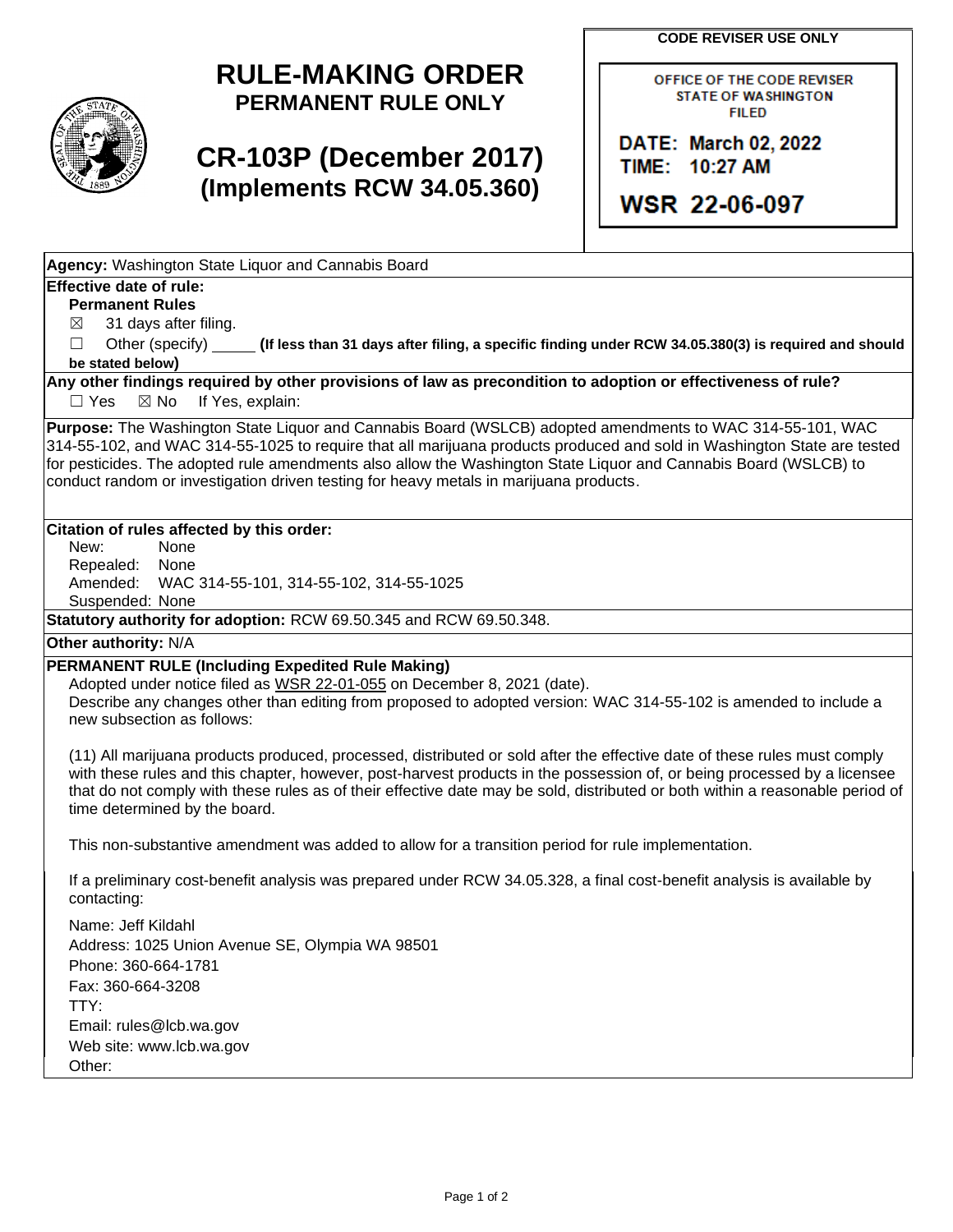**CODE REVISER USE ONLY**



## **RULE-MAKING ORDER PERMANENT RULE ONLY**

# **CR-103P (December 2017) (Implements RCW 34.05.360)**

OFFICE OF THE CODE REVISER **STATE OF WASHINGTON FILED** 

DATE: March 02, 2022 TIME: 10:27 AM

**WSR 22-06-097** 

**Agency:** Washington State Liquor and Cannabis Board

### **Effective date of rule:**

**Permanent Rules**

 $\boxtimes$  31 days after filing.

☐ Other (specify) **(If less than 31 days after filing, a specific finding under RCW 34.05.380(3) is required and should be stated below)**

**Any other findings required by other provisions of law as precondition to adoption or effectiveness of rule?**

□ Yes ⊠ No If Yes, explain:

**Purpose:** The Washington State Liquor and Cannabis Board (WSLCB) adopted amendments to WAC 314-55-101, WAC 314-55-102, and WAC 314-55-1025 to require that all marijuana products produced and sold in Washington State are tested for pesticides. The adopted rule amendments also allow the Washington State Liquor and Cannabis Board (WSLCB) to conduct random or investigation driven testing for heavy metals in marijuana products.

### **Citation of rules affected by this order:**

New: None Repealed: None Amended: WAC 314-55-101, 314-55-102, 314-55-1025 Suspended: None

**Statutory authority for adoption:** RCW 69.50.345 and RCW 69.50.348.

**Other authority:** N/A

### **PERMANENT RULE (Including Expedited Rule Making)**

Adopted under notice filed as WSR 22-01-055 on December 8, 2021 (date).

Describe any changes other than editing from proposed to adopted version: WAC 314-55-102 is amended to include a new subsection as follows:

(11) All marijuana products produced, processed, distributed or sold after the effective date of these rules must comply with these rules and this chapter, however, post-harvest products in the possession of, or being processed by a licensee that do not comply with these rules as of their effective date may be sold, distributed or both within a reasonable period of time determined by the board.

This non-substantive amendment was added to allow for a transition period for rule implementation.

If a preliminary cost-benefit analysis was prepared under RCW 34.05.328, a final cost-benefit analysis is available by contacting:

Name: Jeff Kildahl Address: 1025 Union Avenue SE, Olympia WA 98501 Phone: 360-664-1781 Fax: 360-664-3208 TTY: Email: rules@lcb.wa.gov Web site: www.lcb.wa.gov Other: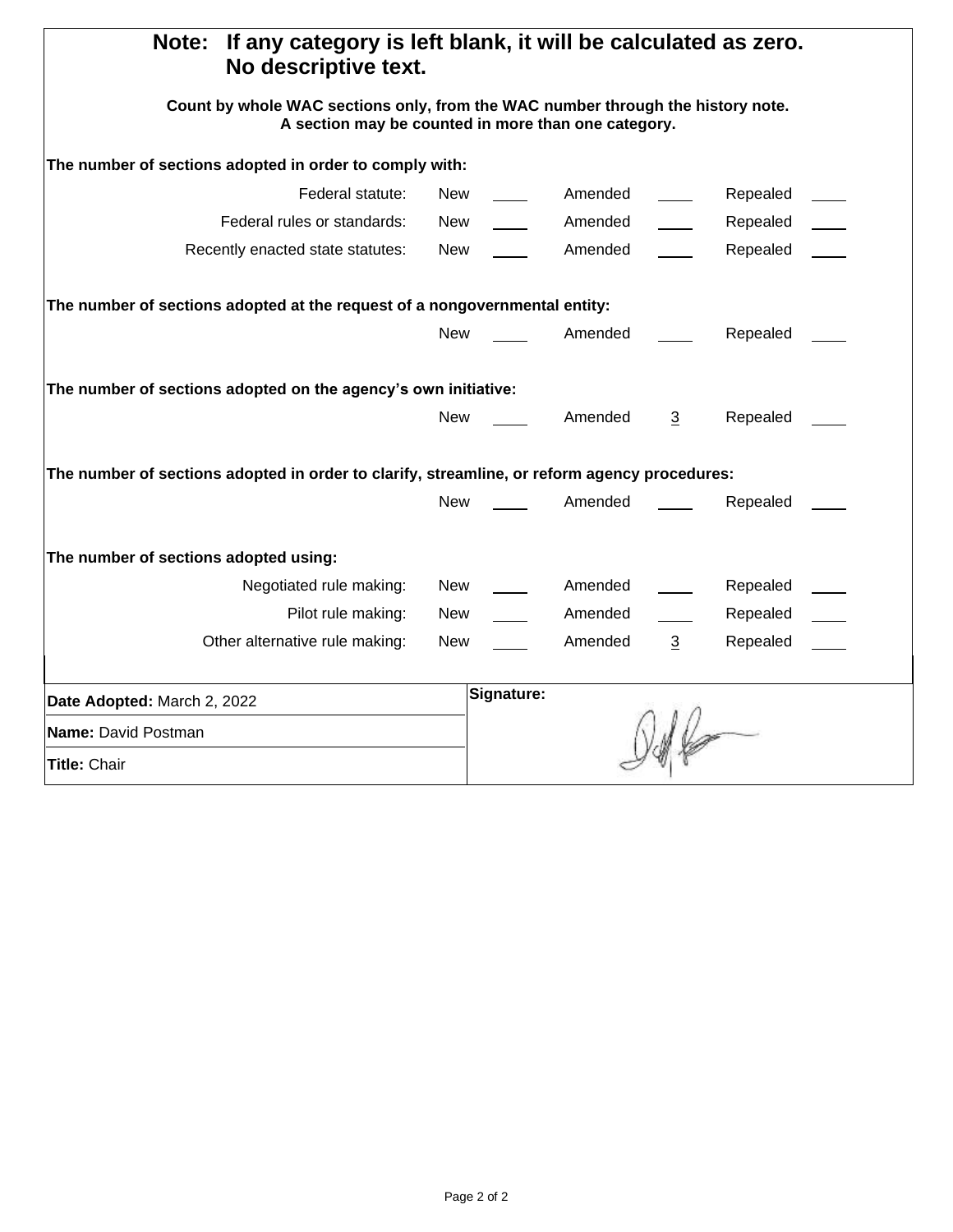| If any category is left blank, it will be calculated as zero.<br>Note:<br>No descriptive text.                                         |                                       |  |  |
|----------------------------------------------------------------------------------------------------------------------------------------|---------------------------------------|--|--|
| Count by whole WAC sections only, from the WAC number through the history note.<br>A section may be counted in more than one category. |                                       |  |  |
| The number of sections adopted in order to comply with:                                                                                |                                       |  |  |
| Federal statute:<br>New                                                                                                                | Amended<br>Repealed                   |  |  |
| Federal rules or standards:<br>New                                                                                                     | Amended<br>Repealed                   |  |  |
| Recently enacted state statutes:<br>New                                                                                                | Amended<br>Repealed                   |  |  |
| The number of sections adopted at the request of a nongovernmental entity:                                                             |                                       |  |  |
| <b>New</b>                                                                                                                             | Repealed<br>Amended                   |  |  |
| The number of sections adopted on the agency's own initiative:                                                                         |                                       |  |  |
| <b>New</b>                                                                                                                             | Repealed<br>Amended<br>3              |  |  |
| The number of sections adopted in order to clarify, streamline, or reform agency procedures:                                           |                                       |  |  |
| <b>New</b>                                                                                                                             | Amended<br>Repealed                   |  |  |
| The number of sections adopted using:                                                                                                  |                                       |  |  |
| Negotiated rule making:<br>New                                                                                                         | Amended<br>Repealed                   |  |  |
| Pilot rule making:<br>New                                                                                                              | Amended<br>Repealed                   |  |  |
| Other alternative rule making:<br><b>New</b>                                                                                           | Amended<br>$\overline{3}$<br>Repealed |  |  |
| Date Adopted: March 2, 2022                                                                                                            | Signature:                            |  |  |
| Name: David Postman                                                                                                                    |                                       |  |  |
| Title: Chair                                                                                                                           |                                       |  |  |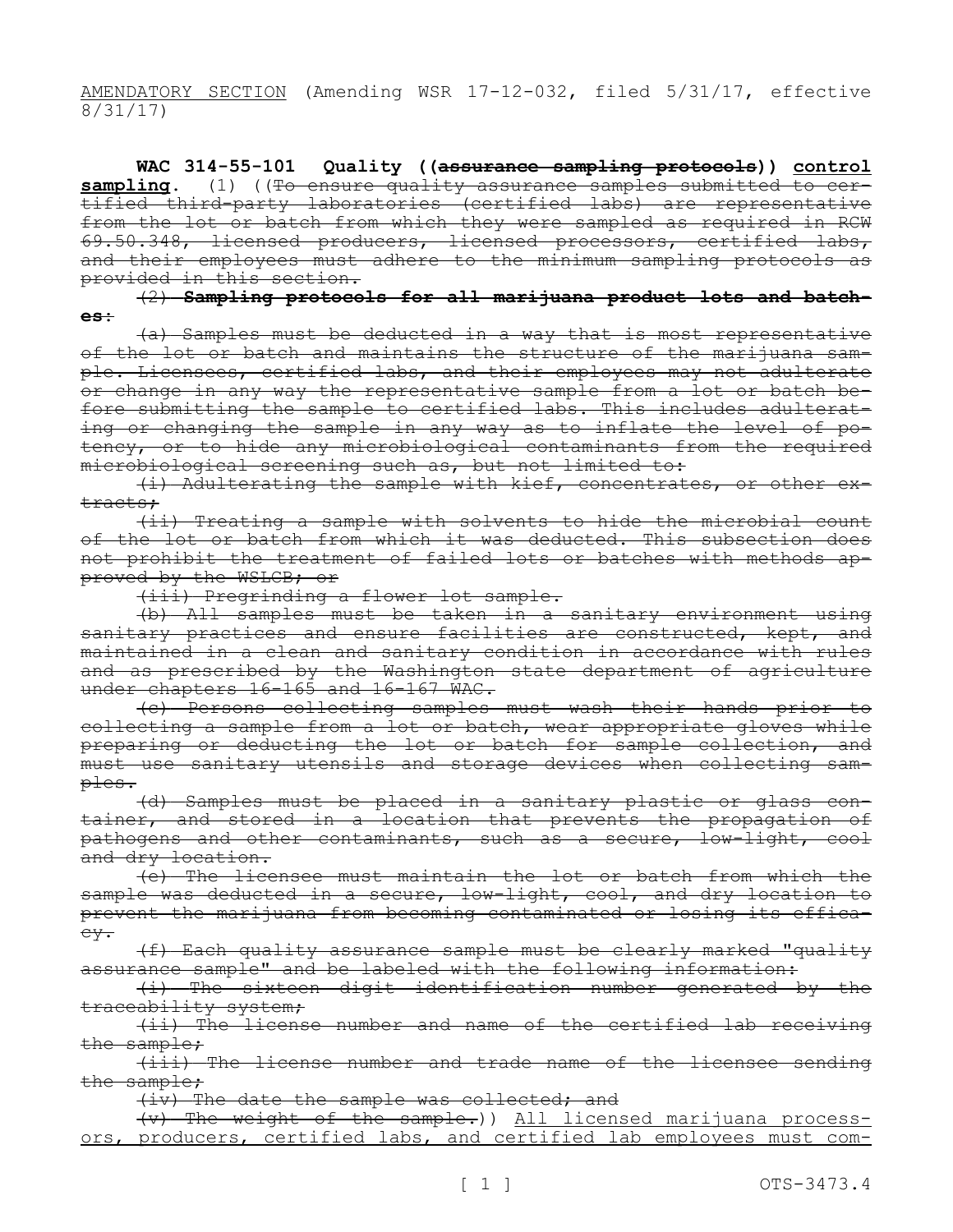AMENDATORY SECTION (Amending WSR 17-12-032, filed 5/31/17, effective 8/31/17)

**WAC 314-55-101 Quality ((assurance sampling protocols)) control sampling.** (1) ((To ensure quality assurance samples submitted to certified third-party laboratories (certified labs) are representative from the lot or batch from which they were sampled as required in RCW 69.50.348, licensed producers, licensed processors, certified labs, and their employees must adhere to the minimum sampling protocols as provided in this section.

(2) **Sampling protocols for all marijuana product lots and batches:**

(a) Samples must be deducted in a way that is most representative of the lot or batch and maintains the structure of the marijuana sample. Licensees, certified labs, and their employees may not adulterate or change in any way the representative sample from a lot or batch before submitting the sample to certified labs. This includes adulterating or changing the sample in any way as to inflate the level of potency, or to hide any microbiological contaminants from the required microbiological screening such as, but not limited to:

(i) Adulterating the sample with kief, concentrates, or other extracts;

(ii) Treating a sample with solvents to hide the microbial count of the lot or batch from which it was deducted. This subsection does not prohibit the treatment of failed lots or batches with methods approved by the WSLCB; or

(iii) Pregrinding a flower lot sample.

(b) All samples must be taken in a sanitary environment using sanitary practices and ensure facilities are constructed, kept, and maintained in a clean and sanitary condition in accordance with rules and as prescribed by the Washington state department of agriculture under chapters 16-165 and 16-167 WAC.

(c) Persons collecting samples must wash their hands prior to collecting a sample from a lot or batch, wear appropriate gloves while preparing or deducting the lot or batch for sample collection, and must use sanitary utensils and storage devices when collecting samples.

(d) Samples must be placed in a sanitary plastic or glass container, and stored in a location that prevents the propagation of pathogens and other contaminants, such as a secure, low-light, cool and dry location.

(e) The licensee must maintain the lot or batch from which the sample was deducted in a secure, low-light, cool, and dry location to prevent the marijuana from becoming contaminated or losing its efficacy.

(f) Each quality assurance sample must be clearly marked "quality assurance sample" and be labeled with the following information:

(i) The sixteen digit identification number generated by the traceability system;

(ii) The license number and name of the certified lab receiving the sample;

(iii) The license number and trade name of the licensee sending the sample;

(iv) The date the sample was collected; and

(v) The weight of the sample.)) All licensed marijuana processors, producers, certified labs, and certified lab employees must com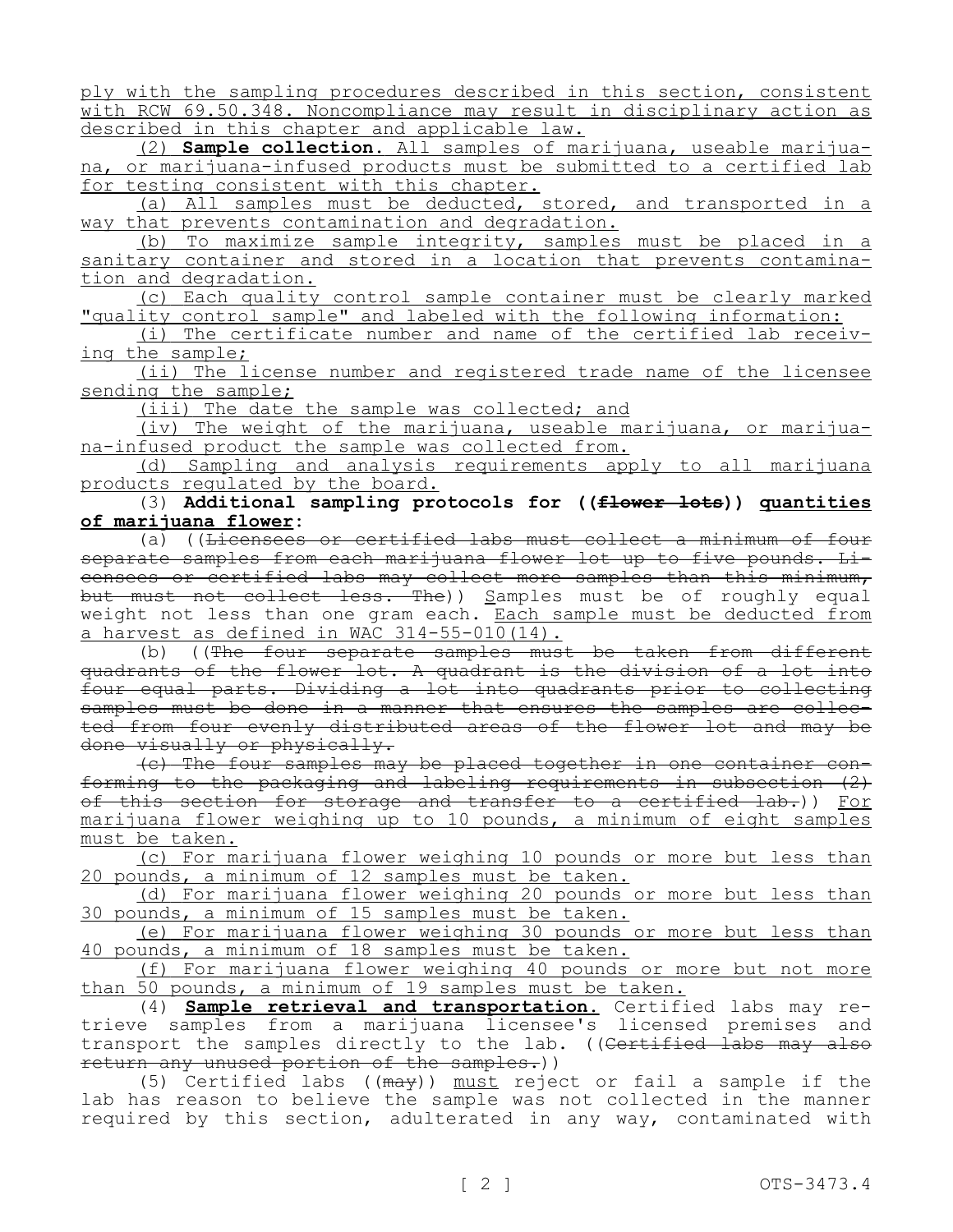ply with the sampling procedures described in this section, consistent with RCW 69.50.348. Noncompliance may result in disciplinary action as described in this chapter and applicable law.

(2) **Sample collection.** All samples of marijuana, useable marijuana, or marijuana-infused products must be submitted to a certified lab for testing consistent with this chapter.

(a) All samples must be deducted, stored, and transported in a way that prevents contamination and degradation.

(b) To maximize sample integrity, samples must be placed in a sanitary container and stored in a location that prevents contamination and degradation.

(c) Each quality control sample container must be clearly marked "quality control sample" and labeled with the following information:

(i) The certificate number and name of the certified lab receiving the sample;

(ii) The license number and registered trade name of the licensee sending the sample;

(iii) The date the sample was collected; and

(iv) The weight of the marijuana, useable marijuana, or marijuana-infused product the sample was collected from.

(d) Sampling and analysis requirements apply to all marijuana products regulated by the board.

(3) **Additional sampling protocols for ((flower lots)) quantities of marijuana flower:**

(a) ((Licensees or certified labs must collect a minimum of four separate samples from each marijuana flower lot up to five pounds. Licensees or certified labs may collect more samples than this minimum, but must not collect less. The)) Samples must be of roughly equal weight not less than one gram each. Each sample must be deducted from a harvest as defined in WAC 314-55-010(14).

(b) ((The four separate samples must be taken from different quadrants of the flower lot. A quadrant is the division of a lot into four equal parts. Dividing a lot into quadrants prior to collecting samples must be done in a manner that ensures the samples are collected from four evenly distributed areas of the flower lot and may be done visually or physically.

(c) The four samples may be placed together in one container conforming to the packaging and labeling requirements in subsection (2) of this section for storage and transfer to a certified lab.)) For marijuana flower weighing up to 10 pounds, a minimum of eight samples must be taken.

(c) For marijuana flower weighing 10 pounds or more but less than 20 pounds, a minimum of 12 samples must be taken.

(d) For marijuana flower weighing 20 pounds or more but less than 30 pounds, a minimum of 15 samples must be taken.

(e) For marijuana flower weighing 30 pounds or more but less than 40 pounds, a minimum of 18 samples must be taken.

(f) For marijuana flower weighing 40 pounds or more but not more than 50 pounds, a minimum of 19 samples must be taken.

(4) **Sample retrieval and transportation.** Certified labs may retrieve samples from a marijuana licensee's licensed premises and transport the samples directly to the lab. ((<del>Certified labs may also</del> return any unused portion of the samples.))

(5) Certified labs ((may)) must reject or fail a sample if the lab has reason to believe the sample was not collected in the manner required by this section, adulterated in any way, contaminated with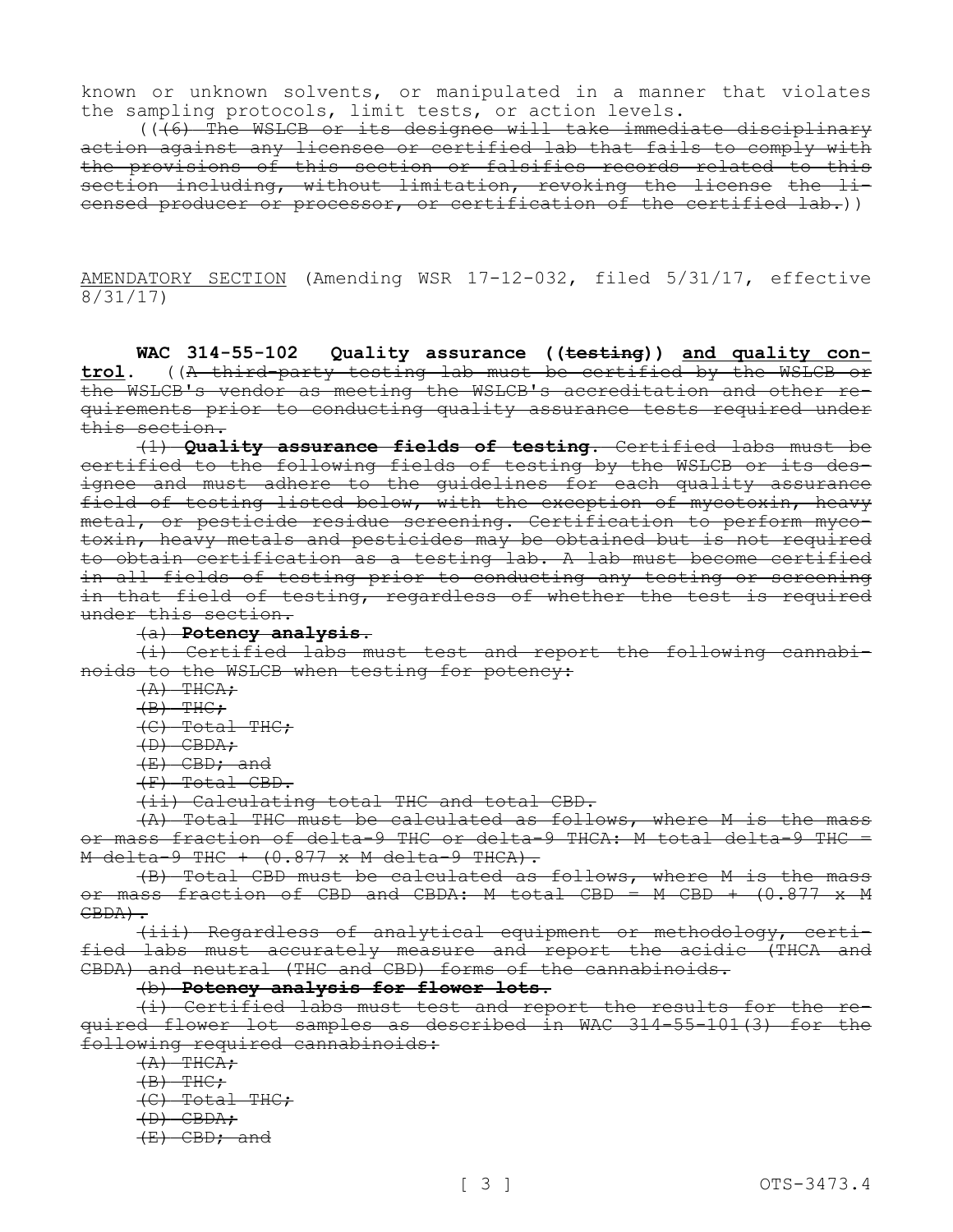known or unknown solvents, or manipulated in a manner that violates the sampling protocols, limit tests, or action levels.

 $((\overline{6})$  The WSLCB or its designee will take immediate disciplinary action against any licensee or certified lab that fails to comply with the provisions of this section or falsifies records related to this section including, without limitation, revoking the license the licensed producer or processor, or certification of the certified lab.))

AMENDATORY SECTION (Amending WSR 17-12-032, filed 5/31/17, effective 8/31/17)

**WAC 314-55-102 Quality assurance ((testing)) and quality control.** ((A third-party testing lab must be certified by the WSLCB or the WSLCB's vendor as meeting the WSLCB's accreditation and other requirements prior to conducting quality assurance tests required under this section.

(1) **Quality assurance fields of testing.** Certified labs must be certified to the following fields of testing by the WSLCB or its designee and must adhere to the guidelines for each quality assurance field of testing listed below, with the exception of mycotoxin, heavy metal, or pesticide residue screening. Certification to perform mycotoxin, heavy metals and pesticides may be obtained but is not required to obtain certification as a testing lab. A lab must become certified in all fields of testing prior to conducting any testing or screening in that field of testing, regardless of whether the test is required under this section.

#### (a) **Potency analysis.**

(i) Certified labs must test and report the following cannabinoids to the WSLCB when testing for potency:

 $(A)$  THCA;

 $(B)$  THC;

(C) Total THC;

(D) CBDA;

(E) CBD; and

(F) Total CBD.

(ii) Calculating total THC and total CBD.

(A) Total THC must be calculated as follows, where M is the mass or mass fraction of delta-9 THC or delta-9 THCA: M total delta-9 THC =  $M$  delta-9 THC +  $(0.877 \times M$  delta-9 THCA).

(B) Total CBD must be calculated as follows, where M is the mass or mass fraction of CBD and CBDA: M total CBD = M CBD + (0.877 x M CBDA).

(iii) Regardless of analytical equipment or methodology, certified labs must accurately measure and report the acidic (THCA and CBDA) and neutral (THC and CBD) forms of the cannabinoids.

#### (b) **Potency analysis for flower lots.**

(i) Certified labs must test and report the results for the required flower lot samples as described in WAC 314-55-101(3) for the following required cannabinoids:

 $(A)$  THCA;

 $(B)$  THC:

 $(C)$  Total THC;

 $(D)$  CBDA;

(E) CBD; and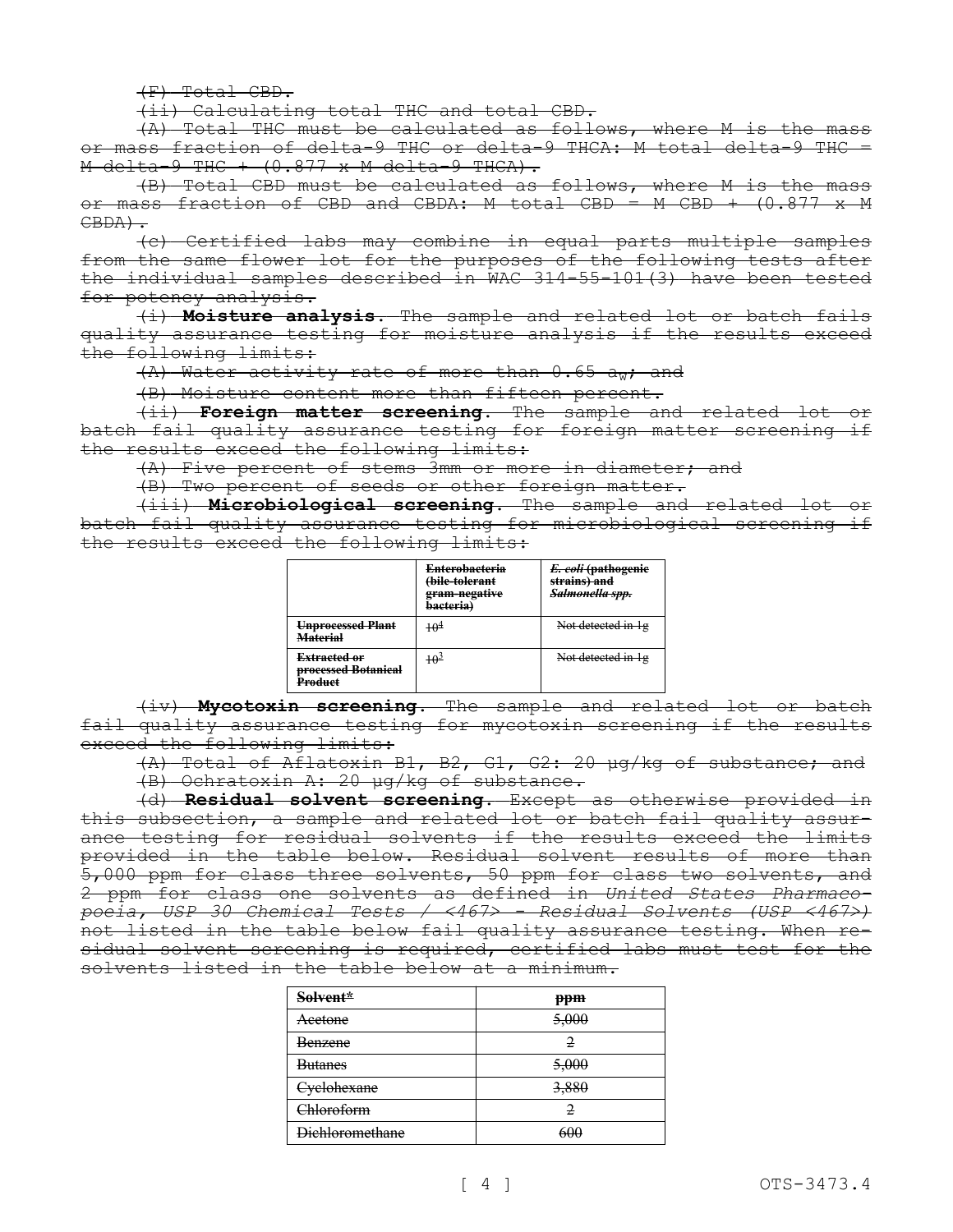(F) Total CBD.

(ii) Calculating total THC and total CBD.

(A) Total THC must be calculated as follows, where M is the mass or mass fraction of delta-9 THC or delta-9 THCA: M total delta-9 THC =  $M$  delta-9 THC +  $(0.877 \times M$  delta-9 THCA).

(B) Total CBD must be calculated as follows, where M is the mass or mass fraction of CBD and CBDA: M total CBD = M CBD + (0.877 x M  $CBDA$ ).

(c) Certified labs may combine in equal parts multiple samples from the same flower lot for the purposes of the following tests after the individual samples described in WAC 314-55-101(3) have been tested for potency analysis.

(i) **Moisture analysis.** The sample and related lot or batch fails quality assurance testing for moisture analysis if the results exceed the following limits:

 $(A)$  Water activity rate of more than  $0.65$  aw; and

(B) Moisture content more than fifteen percent.

(ii) **Foreign matter screening.** The sample and related lot or batch fail quality assurance testing for foreign matter screening if the results exceed the following limits:

(A) Five percent of stems 3mm or more in diameter; and

(B) Two percent of seeds or other foreign matter.

(iii) **Microbiological screening.** The sample and related lot or batch fail quality assurance testing for microbiological screening if the results exceed the following limits:

|                                                                  | <b>Enterobacteria</b><br><del>(bile-tolerant</del><br>gram-negative<br>bacteria) | E. coli (pathogenie<br>strains) and<br>Salmonella spp. |
|------------------------------------------------------------------|----------------------------------------------------------------------------------|--------------------------------------------------------|
| Unprocessed Plant<br><b>Material</b>                             | $+ \theta^4$                                                                     | Not detected in 1g                                     |
| <del>Extracted or</del><br><b>processed Botanical</b><br>Product | $+ \theta^3$                                                                     | Not detected in 1g                                     |

(iv) **Mycotoxin screening.** The sample and related lot or batch fail quality assurance testing for mycotoxin screening if the results exceed the following limits:

(A) Total of Aflatoxin B1, B2, G1, G2: 20 μg/kg of substance; and

(B) Ochratoxin A: 20 μg/kg of substance.

(d) **Residual solvent screening.** Except as otherwise provided in this subsection, a sample and related lot or batch fail quality assurance testing for residual solvents if the results exceed the limits provided in the table below. Residual solvent results of more than 5,000 ppm for class three solvents, 50 ppm for class two solvents, and 2 ppm for class one solvents as defined in *United States Pharmacopoeia, USP 30 Chemical Tests / <467˃ - Residual Solvents (USP <467˃)*  not listed in the table below fail quality assurance testing. When residual solvent screening is required, certified labs must test for the solvents listed in the table below at a minimum.

| Solvent*               | ppm   |
|------------------------|-------|
| Acetone                | 5,000 |
| <del>Benzene</del>     | 2     |
| <b>Butanes</b>         | 5,000 |
| <b>Cyclohexane</b>     | 3,880 |
| Chloroform             | 2     |
| <b>Dichloromethane</b> | 600   |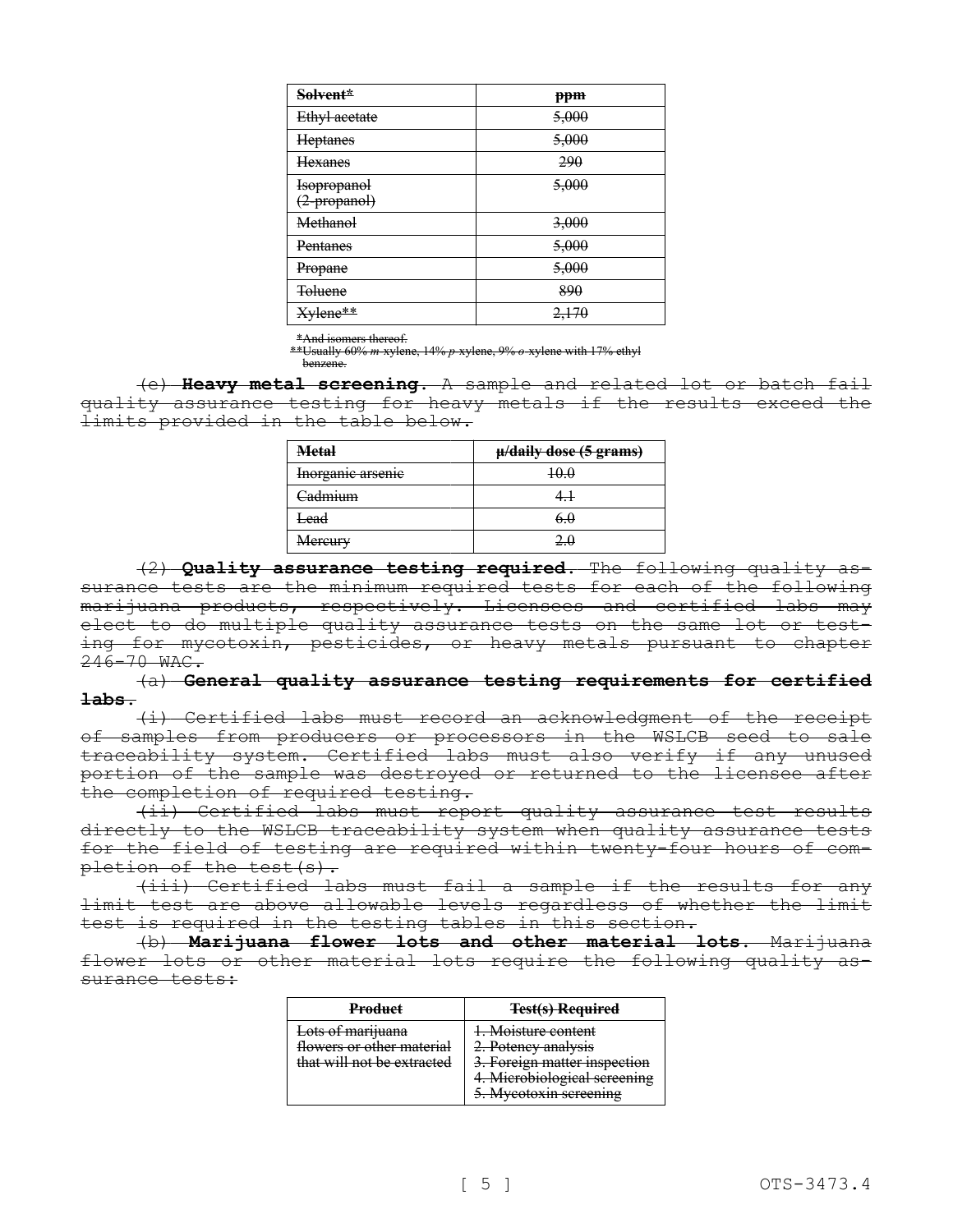| Solvent*                                  | ppm   |
|-------------------------------------------|-------|
| Ethyl acetate                             | 5,000 |
| Heptanes                                  | 5,000 |
| Hexanes                                   | 290   |
| <del>Isopropanol</del><br>$(2$ -propanol) | 5,000 |
| Methanol                                  | 3,000 |
| Pentanes                                  | 5,000 |
| Propane                                   | 5,000 |
| <b>Toluene</b>                            | 890   |
| Xylene**                                  | 2,170 |

\*And isomers thereof.

\*\*Usually 60% *m*-xylene, 14% *p*-xylene, 9% *o*-xylene with 17% ethyl benzene.

(e) **Heavy metal screening.** A sample and related lot or batch fail quality assurance testing for heavy metals if the results exceed the limits provided in the table below.

| <b>Metal</b>                 | $\mu$ /daily dose (5 grams) |
|------------------------------|-----------------------------|
| <del>Inorganic arsenic</del> |                             |
| <del>3admıum</del>           |                             |
| ⊢ead                         |                             |
| <del>Mercurv</del>           |                             |

(2) **Quality assurance testing required.** The following quality assurance tests are the minimum required tests for each of the following marijuana products, respectively. Licensees and certified labs may elect to do multiple quality assurance tests on the same lot or testing for mycotoxin, pesticides, or heavy metals pursuant to chapter 246-70 WAC.

(a) **General quality assurance testing requirements for certified labs.**

(i) Certified labs must record an acknowledgment of the receipt of samples from producers or processors in the WSLCB seed to sale traceability system. Certified labs must also verify if any unused portion of the sample was destroyed or returned to the licensee after the completion of required testing.

(ii) Certified labs must report quality assurance test results directly to the WSLCB traceability system when quality assurance tests for the field of testing are required within twenty-four hours of completion of the test (s).

(iii) Certified labs must fail a sample if the results for any limit test are above allowable levels regardless of whether the limit test is required in the testing tables in this section.

(b) **Marijuana flower lots and other material lots.** Marijuana flower lots or other material lots require the following quality assurance tests:

| <b>Product</b>                                                               | <b>Test(s) Required</b>                                                                                                             |
|------------------------------------------------------------------------------|-------------------------------------------------------------------------------------------------------------------------------------|
| Lots of marijuana<br>flowers or other material<br>that will not be extracted | 1. Moisture content<br>2. Potency analysis<br>. Foreign matter inspection<br>4. Microbiological screening<br>5. Myeotoxin screening |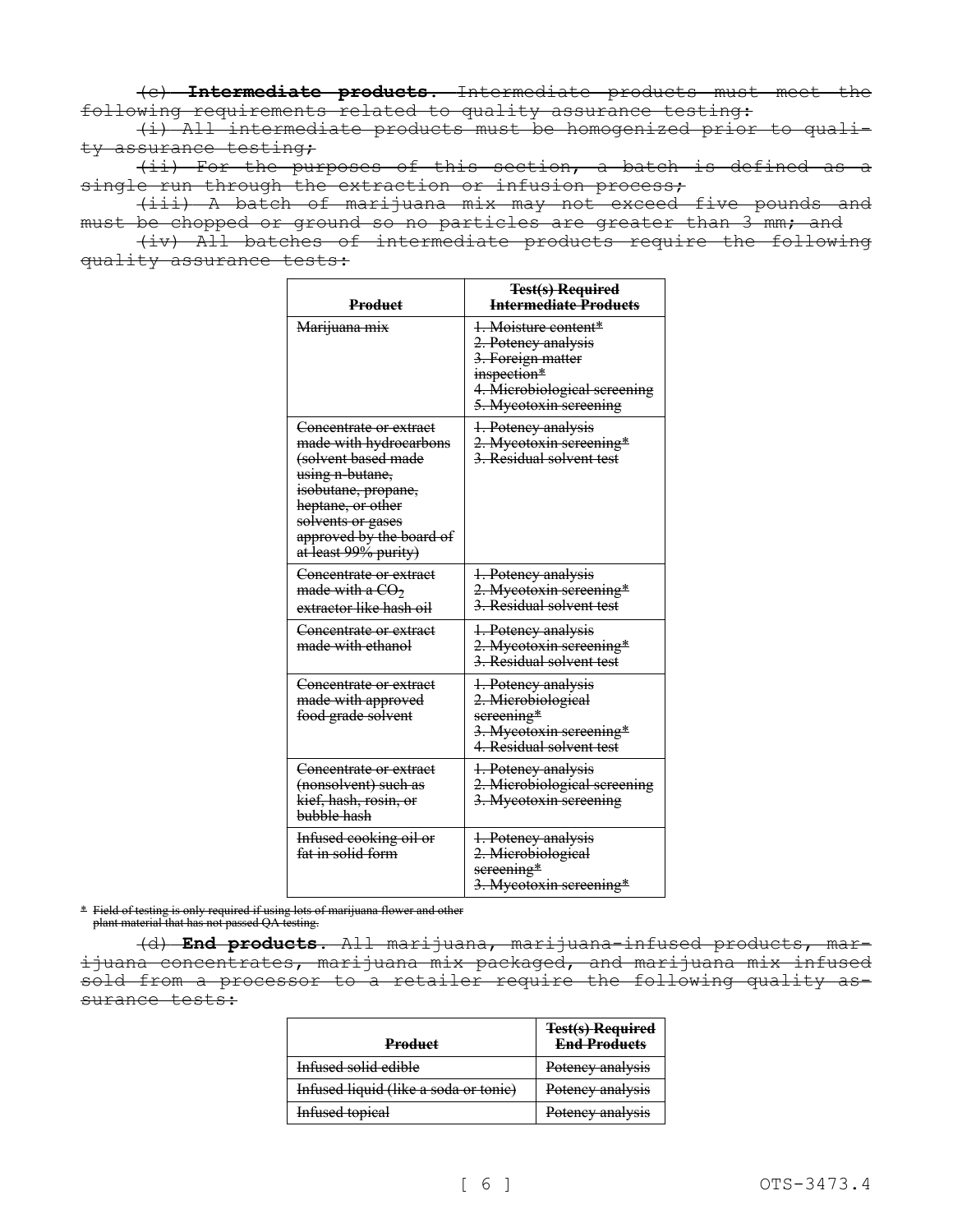(c) **Intermediate products.** Intermediate products must meet the following requirements related to quality assurance testing:

(i) All intermediate products must be homogenized prior to quality assurance testing;

(ii) For the purposes of this section, a batch is defined as a single run through the extraction or infusion process;

(iii) A batch of marijuana mix may not exceed five pounds and must be chopped or ground so no particles are greater than 3 mm; and

(iv) All batches of intermediate products require the following quality assurance tests:

| <b>Product</b>                                                                                                                                                                                                             | <b>Test(s) Required</b><br><del>Intermediate Products</del>                                                                               |
|----------------------------------------------------------------------------------------------------------------------------------------------------------------------------------------------------------------------------|-------------------------------------------------------------------------------------------------------------------------------------------|
| Marijuana mix                                                                                                                                                                                                              | 1. Moisture content*<br>2. Potency analysis<br>3. Foreign matter<br>inspection*<br>4. Microbiological screening<br>5. Myeotoxin sereening |
| Concentrate or extract<br>made with hydrocarbons<br><del>(solvent based made</del><br>using n-butane,<br>isobutane, propane,<br>heptane, or other<br>solvents or gases<br>approved by the board of<br>at least 99% purity) | 1. Potency analysis<br>2. Mycotoxin screening*<br>3. Residual solvent test                                                                |
| Concentrate or extract<br>made with a $CO2$<br>extractor like hash oil                                                                                                                                                     | 1. Potency analysis<br>2. Mycotoxin screening*<br>3. Residual solvent test                                                                |
| Concentrate or extract<br>made with ethanol                                                                                                                                                                                | 1. Potency analysis<br>2. Mycotoxin screening*<br>3. Residual solvent test                                                                |
| Concentrate or extract<br>made with approved<br>food grade solvent                                                                                                                                                         | 1. Potency analysis<br>2. Microbiological<br>sereening*<br>3. Myeotoxin sereening*<br>4. Residual solvent test                            |
| Concentrate or extract<br>(nonsolvent) such as<br>kief, hash, rosin, or<br>bubble hash                                                                                                                                     | 1. Potency analysis<br>2. Microbiological screening<br>3. Mycotoxin screening                                                             |
| Infused cooking oil or<br>fat in solid form                                                                                                                                                                                | 1. Potency analysis<br>2. Microbiological<br>sereening*<br>3. Myeotoxin sereening*                                                        |

\* Field of testing is only required if using lots of marijuana flower and other plant material that has not passed QA testing.

(d) **End products.** All marijuana, marijuana-infused products, marijuana concentrates, marijuana mix packaged, and marijuana mix infused sold from a processor to a retailer require the following quality assurance tests:

| Product                               | <b>Test(s) Required</b><br><b>End Products</b> |
|---------------------------------------|------------------------------------------------|
| Infused solid edible                  | Potency analysis                               |
| Infused liquid (like a soda or tonic) | Potency analysis                               |
| Infused topical                       | Potency analysis                               |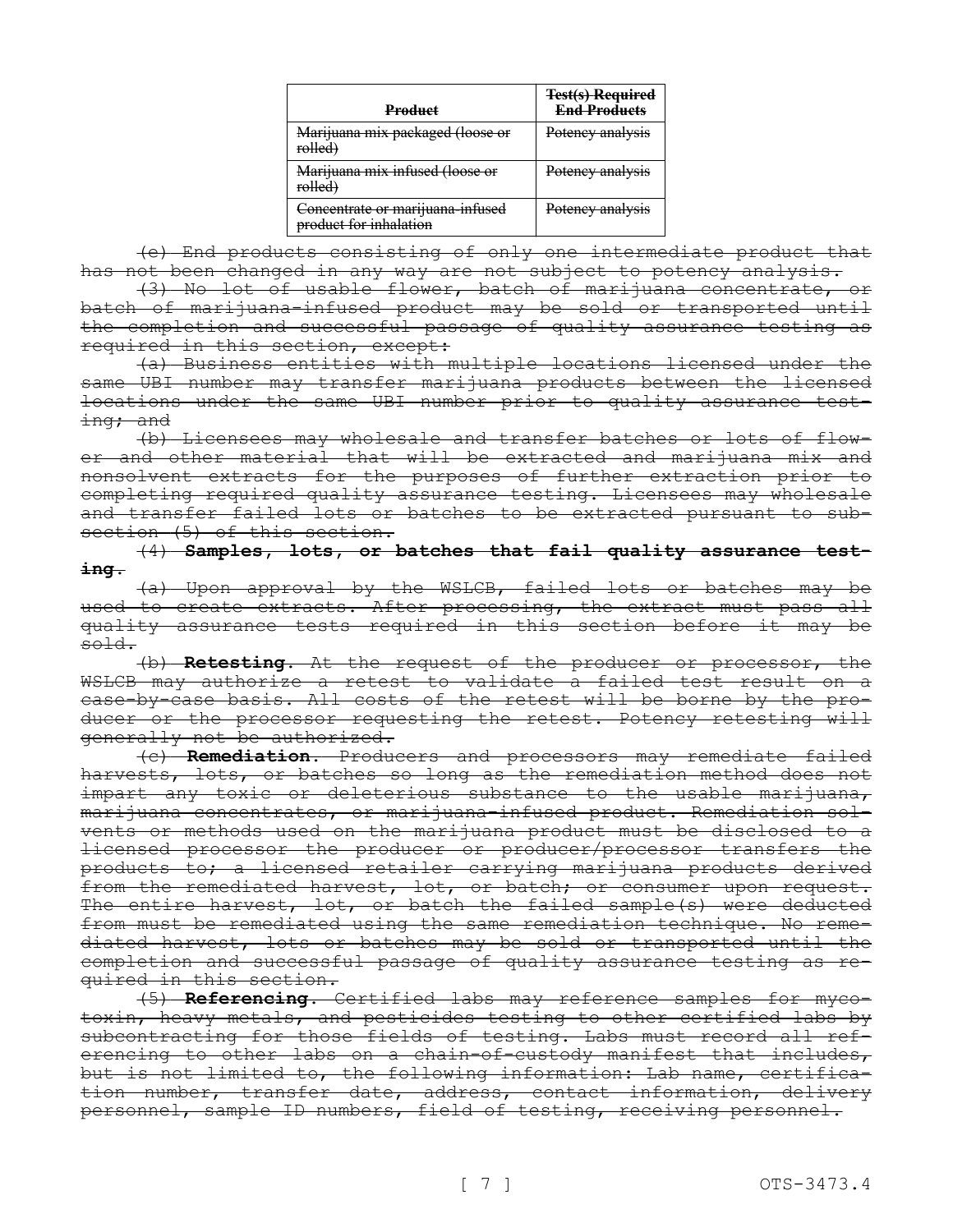| <b>Product</b>                                             | <b>Test(s) Required</b><br><b>End Products</b> |
|------------------------------------------------------------|------------------------------------------------|
| Marijuana mix packaged (loose or<br>rolled)                | Potency analysis                               |
| Marijuana mix infused (loose or<br>rolled)                 | Potency analysis                               |
| Concentrate or marijuana-infused<br>product for inhalation | Potency analysis                               |

(e) End products consisting of only one intermediate product that has not been changed in any way are not subject to potency analysis.

(3) No lot of usable flower, batch of marijuana concentrate, or batch of marijuana-infused product may be sold or transported until the completion and successful passage of quality assurance testing as required in this section, except:

(a) Business entities with multiple locations licensed under the same UBI number may transfer marijuana products between the licensed locations under the same UBI number prior to quality assurance test- $\frac{1}{1}$ ng; and

(b) Licensees may wholesale and transfer batches or lots of flower and other material that will be extracted and marijuana mix and nonsolvent extracts for the purposes of further extraction prior to completing required quality assurance testing. Licensees may wholesale and transfer failed lots or batches to be extracted pursuant to subsection (5) of this section.

(4) **Samples, lots, or batches that fail quality assurance testing.**

(a) Upon approval by the WSLCB, failed lots or batches may be used to create extracts. After processing, the extract must pass all quality assurance tests required in this section before it may be sold.

(b) **Retesting.** At the request of the producer or processor, the WSLCB may authorize a retest to validate a failed test result on a case-by-case basis. All costs of the retest will be borne by the producer or the processor requesting the retest. Potency retesting will generally not be authorized.

(c) **Remediation.** Producers and processors may remediate failed harvests, lots, or batches so long as the remediation method does not impart any toxic or deleterious substance to the usable marijuana, marijuana concentrates, or marijuana-infused product. Remediation solvents or methods used on the marijuana product must be disclosed to a licensed processor the producer or producer/processor transfers the products to; a licensed retailer carrying marijuana products derived from the remediated harvest, lot, or batch; or consumer upon request. The entire harvest, lot, or batch the failed sample(s) were deducted from must be remediated using the same remediation technique. No remediated harvest, lots or batches may be sold or transported until the completion and successful passage of quality assurance testing as required in this section.

(5) **Referencing.** Certified labs may reference samples for mycotoxin, heavy metals, and pesticides testing to other certified labs by subcontracting for those fields of testing. Labs must record all referencing to other labs on a chain-of-custody manifest that includes, but is not limited to, the following information: Lab name, certification number, transfer date, address, contact information, delivery personnel, sample ID numbers, field of testing, receiving personnel.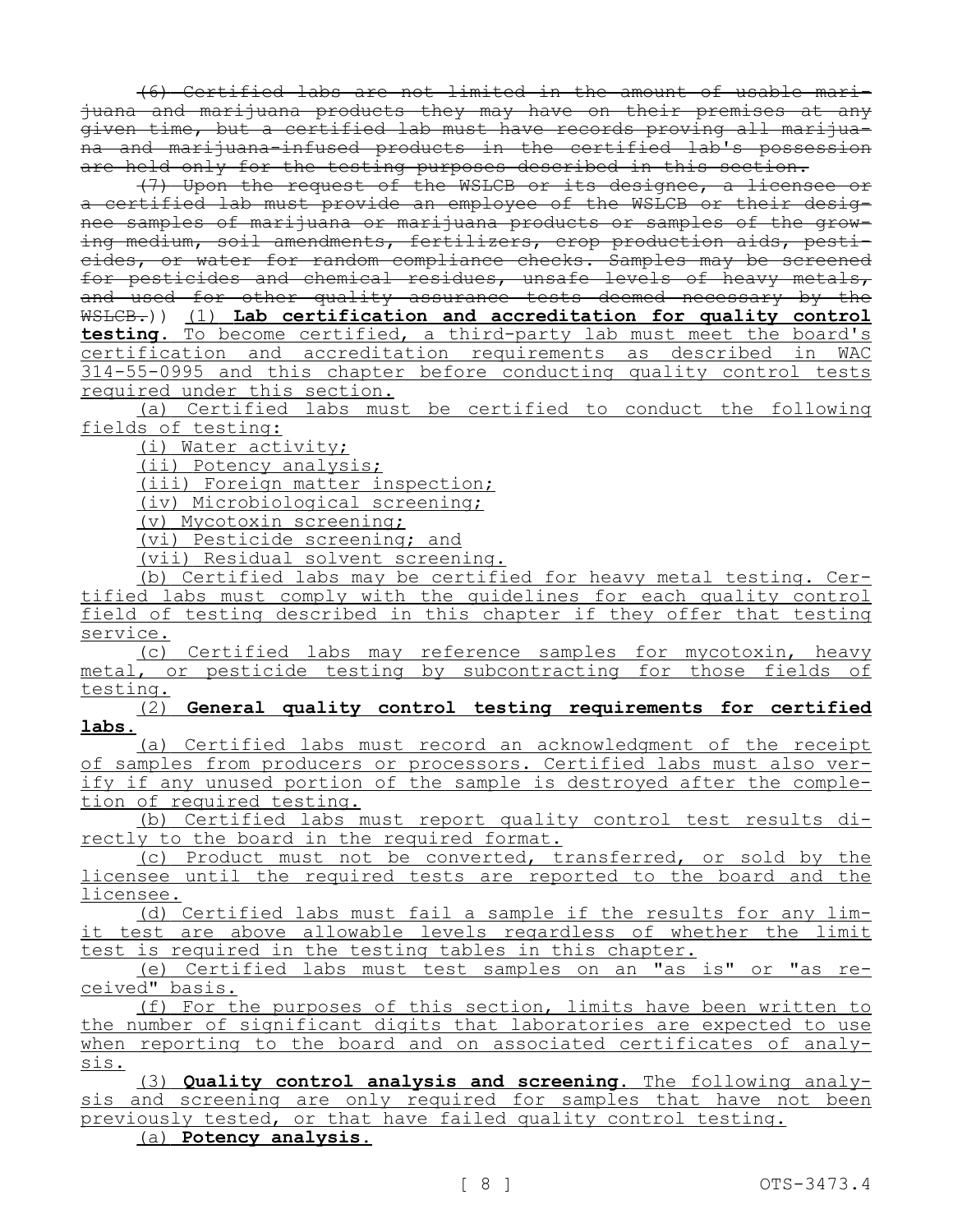(6) Certified labs are not limited in the amount of usable marijuana and marijuana products they may have on their premises at any given time, but a certified lab must have records proving all marijuana and marijuana-infused products in the certified lab's possession are held only for the testing purposes described in this section.

(7) Upon the request of the WSLCB or its designee, a licensee or a certified lab must provide an employee of the WSLCB or their designee samples of marijuana or marijuana products or samples of the growing medium, soil amendments, fertilizers, crop production aids, pesticides, or water for random compliance checks. Samples may be screened for pesticides and chemical residues, unsafe levels of heavy metals, and used for other quality assurance tests deemed necessary by the WSLCB.)) (1) **Lab certification and accreditation for quality control testing.** To become certified, a third-party lab must meet the board's certification and accreditation requirements as described in WAC 314-55-0995 and this chapter before conducting quality control tests required under this section.

(a) Certified labs must be certified to conduct the following fields of testing:

(i) Water activity;

(ii) Potency analysis;

(iii) Foreign matter inspection;

(iv) Microbiological screening;

(v) Mycotoxin screening;

(vi) Pesticide screening; and

(vii) Residual solvent screening.

(b) Certified labs may be certified for heavy metal testing. Certified labs must comply with the guidelines for each quality control field of testing described in this chapter if they offer that testing service.

(c) Certified labs may reference samples for mycotoxin, heavy metal, or pesticide testing by subcontracting for those fields of testing.

(2) **General quality control testing requirements for certified labs.**

(a) Certified labs must record an acknowledgment of the receipt of samples from producers or processors. Certified labs must also verify if any unused portion of the sample is destroyed after the completion of required testing.

(b) Certified labs must report quality control test results directly to the board in the required format.

(c) Product must not be converted, transferred, or sold by the licensee until the required tests are reported to the board and the licensee.

(d) Certified labs must fail a sample if the results for any limit test are above allowable levels regardless of whether the limit test is required in the testing tables in this chapter.

(e) Certified labs must test samples on an "as is" or "as received" basis.

(f) For the purposes of this section, limits have been written to the number of significant digits that laboratories are expected to use when reporting to the board and on associated certificates of analysis.

(3) **Quality control analysis and screening.** The following analysis and screening are only required for samples that have not been previously tested, or that have failed quality control testing.

(a) **Potency analysis.**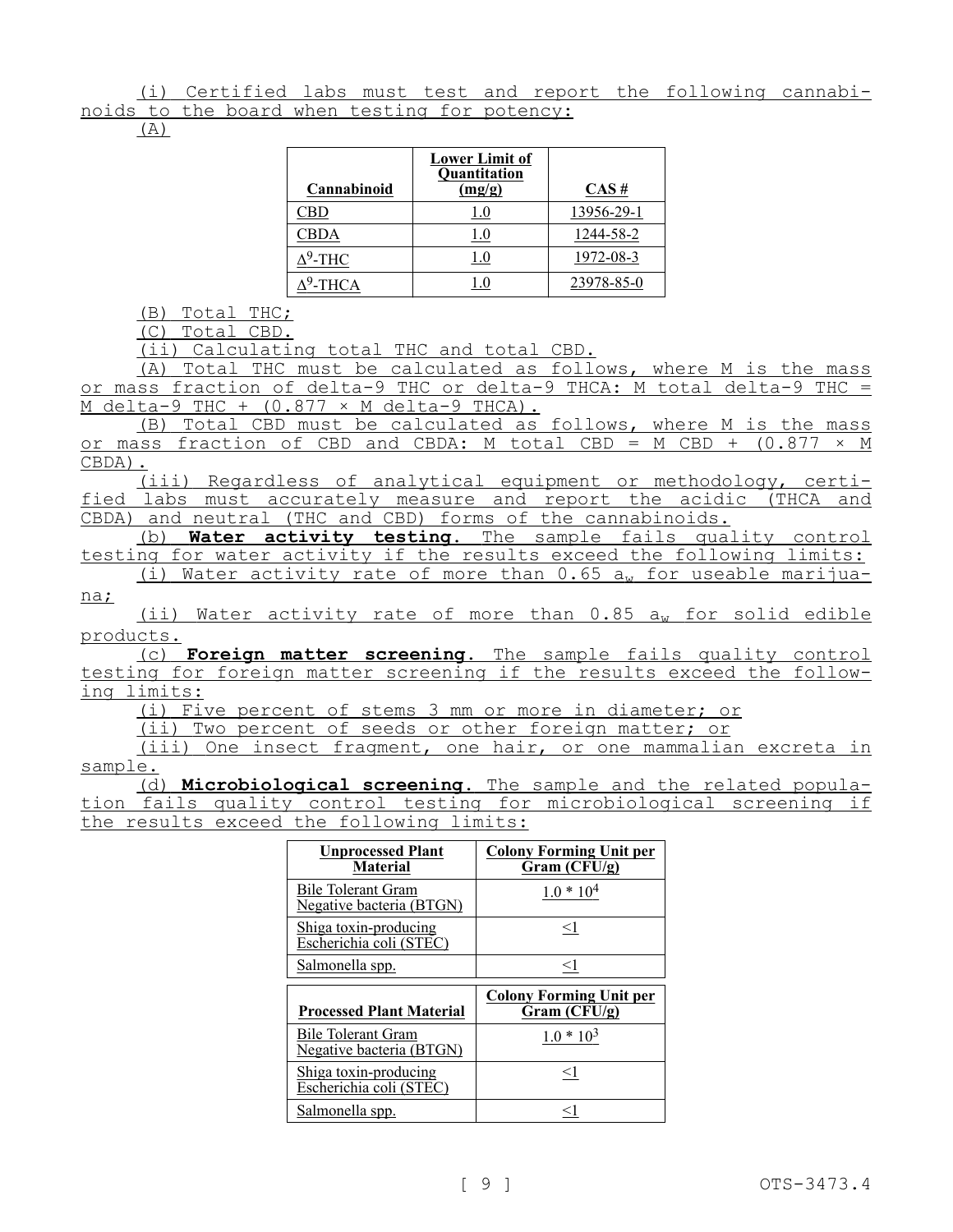(i) Certified labs must test and report the following cannabinoids to the board when testing for potency:

(A)

| Cannabinoid        | <b>Lower Limit of</b><br><b>Quantitation</b><br>(mg/g) | $CAS \#$   |
|--------------------|--------------------------------------------------------|------------|
|                    |                                                        | 13956-29-1 |
| CBDA               | 1.0                                                    | 1244-58-2  |
| <sup>9</sup> -THC  | l.O                                                    | 1972-08-3  |
| <sup>9</sup> -THCA |                                                        | 23978-85-0 |

(B) Total THC;

(C) Total CBD.

(ii) Calculating total THC and total CBD.

(A) Total THC must be calculated as follows, where M is the mass or mass fraction of delta-9 THC or delta-9 THCA: M total delta-9 THC =  $M$  delta-9 THC +  $(0.877 \times M$  delta-9 THCA).

(B) Total CBD must be calculated as follows, where M is the mass or mass fraction of CBD and CBDA: M total CBD = M CBD +  $(0.877 \times M)$ CBDA).

(iii) Regardless of analytical equipment or methodology, certified labs must accurately measure and report the acidic (THCA and CBDA) and neutral (THC and CBD) forms of the cannabinoids.

(b) **Water activity testing.** The sample fails quality control testing for water activity if the results exceed the following limits: (i) Water activity rate of more than  $0.65$  aw for useable marijua-

na;

(ii) Water activity rate of more than  $0.85$   $a<sub>w</sub>$  for solid edible products.

(c) **Foreign matter screening.** The sample fails quality control testing for foreign matter screening if the results exceed the following limits:

(i) Five percent of stems 3 mm or more in diameter; or

(ii) Two percent of seeds or other foreign matter; or

(iii) One insect fragment, one hair, or one mammalian excreta in sample.

(d) **Microbiological screening.** The sample and the related population fails quality control testing for microbiological screening if the results exceed the following limits:

| <b>Unprocessed Plant</b><br><b>Material</b>           | <b>Colony Forming Unit per</b><br>Gram(CFU/g) |
|-------------------------------------------------------|-----------------------------------------------|
| <b>Bile Tolerant Gram</b><br>Negative bacteria (BTGN) | $1.0 * 104$                                   |
| Shiga toxin-producing<br>Escherichia coli (STEC)      | $\leq$ 1                                      |
| Salmonella spp.                                       | <1                                            |
|                                                       |                                               |
| <b>Processed Plant Material</b>                       | <b>Colony Forming Unit per</b><br>Gram(CFU/g) |
| Bile Tolerant Gram<br>Negative bacteria (BTGN)        | $1.0 * 103$                                   |
| Shiga toxin-producing<br>Escherichia coli (STEC)      | $\leq$ 1                                      |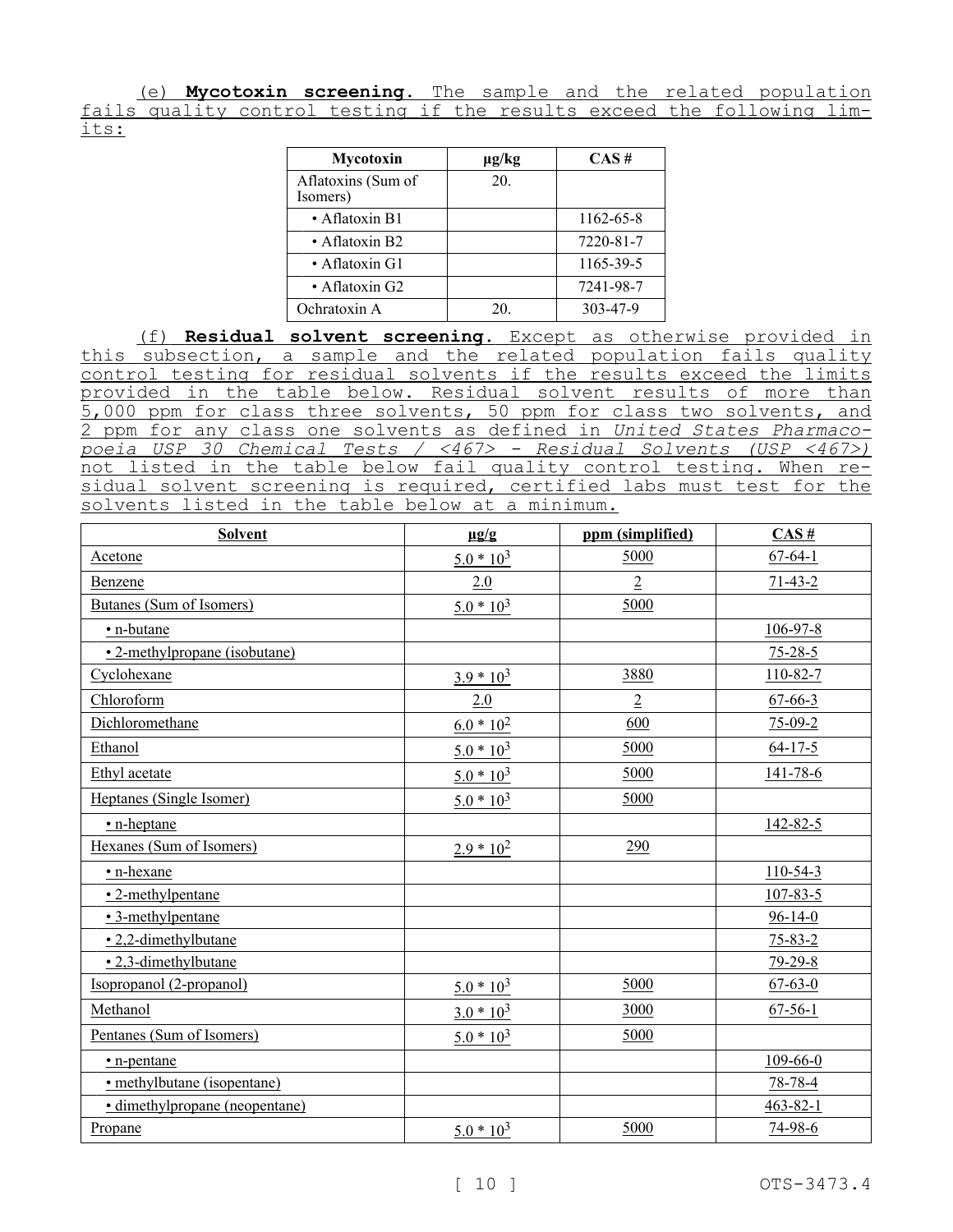(e) **Mycotoxin screening.** The sample and the related population fails quality control testing if the results exceed the following limits:

| Mycotoxin                      | $\mu$ g/kg | CAS#      |
|--------------------------------|------------|-----------|
| Aflatoxins (Sum of<br>Isomers) | 20.        |           |
| • Aflatoxin B1                 |            | 1162-65-8 |
| $\bullet$ Aflatoxin B2         |            | 7220-81-7 |
| • Aflatoxin G1                 |            | 1165-39-5 |
| • Aflatoxin G2                 |            | 7241-98-7 |
| Ochratoxin A                   | 20.        | 303-47-9  |

(f) **Residual solvent screening.** Except as otherwise provided in this subsection, a sample and the related population fails quality control testing for residual solvents if the results exceed the limits provided in the table below. Residual solvent results of more than 5,000 ppm for class three solvents, 50 ppm for class two solvents, and 2 ppm for any class one solvents as defined in *United States Pharmacopoeia USP 30 Chemical Tests / <467˃ - Residual Solvents (USP <467˃)*  not listed in the table below fail quality control testing. When residual solvent screening is required, certified labs must test for the solvents listed in the table below at a minimum.

| <b>Solvent</b>                 | $\mu$ g/g    | ppm (simplified) | CAS#           |
|--------------------------------|--------------|------------------|----------------|
| Acetone                        | $5.0 * 10^3$ | 5000             | $67 - 64 - 1$  |
| Benzene                        | 2.0          | $\overline{2}$   | $71 - 43 - 2$  |
| Butanes (Sum of Isomers)       | $5.0 * 103$  | 5000             |                |
| • n-butane                     |              |                  | $106 - 97 - 8$ |
| • 2-methylpropane (isobutane)  |              |                  | $75 - 28 - 5$  |
| Cyclohexane                    | $3.9 * 10^3$ | 3880             | $110 - 82 - 7$ |
| Chloroform                     | 2.0          | $\overline{2}$   | $67 - 66 - 3$  |
| Dichloromethane                | $6.0 * 102$  | 600              | $75-09-2$      |
| Ethanol                        | $5.0 * 10^3$ | 5000             | $64 - 17 - 5$  |
| Ethyl acetate                  | $5.0 * 10^3$ | 5000             | $141 - 78 - 6$ |
| Heptanes (Single Isomer)       | $5.0 * 10^3$ | 5000             |                |
| • n-heptane                    |              |                  | 142-82-5       |
| Hexanes (Sum of Isomers)       | $2.9 * 102$  | 290              |                |
| • n-hexane                     |              |                  | $110-54-3$     |
| • 2-methylpentane              |              |                  | $107 - 83 - 5$ |
| • 3-methylpentane              |              |                  | $96 - 14 - 0$  |
| • 2,2-dimethylbutane           |              |                  | $75 - 83 - 2$  |
| • 2,3-dimethylbutane           |              |                  | $79 - 29 - 8$  |
| Isopropanol (2-propanol)       | $5.0 * 10^3$ | 5000             | $67 - 63 - 0$  |
| Methanol                       | $3.0 * 10^3$ | 3000             | $67 - 56 - 1$  |
| Pentanes (Sum of Isomers)      | $5.0 * 10^3$ | 5000             |                |
| • n-pentane                    |              |                  | 109-66-0       |
| • methylbutane (isopentane)    |              |                  | $78 - 78 - 4$  |
| • dimethylpropane (neopentane) |              |                  | $463 - 82 - 1$ |
| Propane                        | $5.0 * 103$  | 5000             | $74-98-6$      |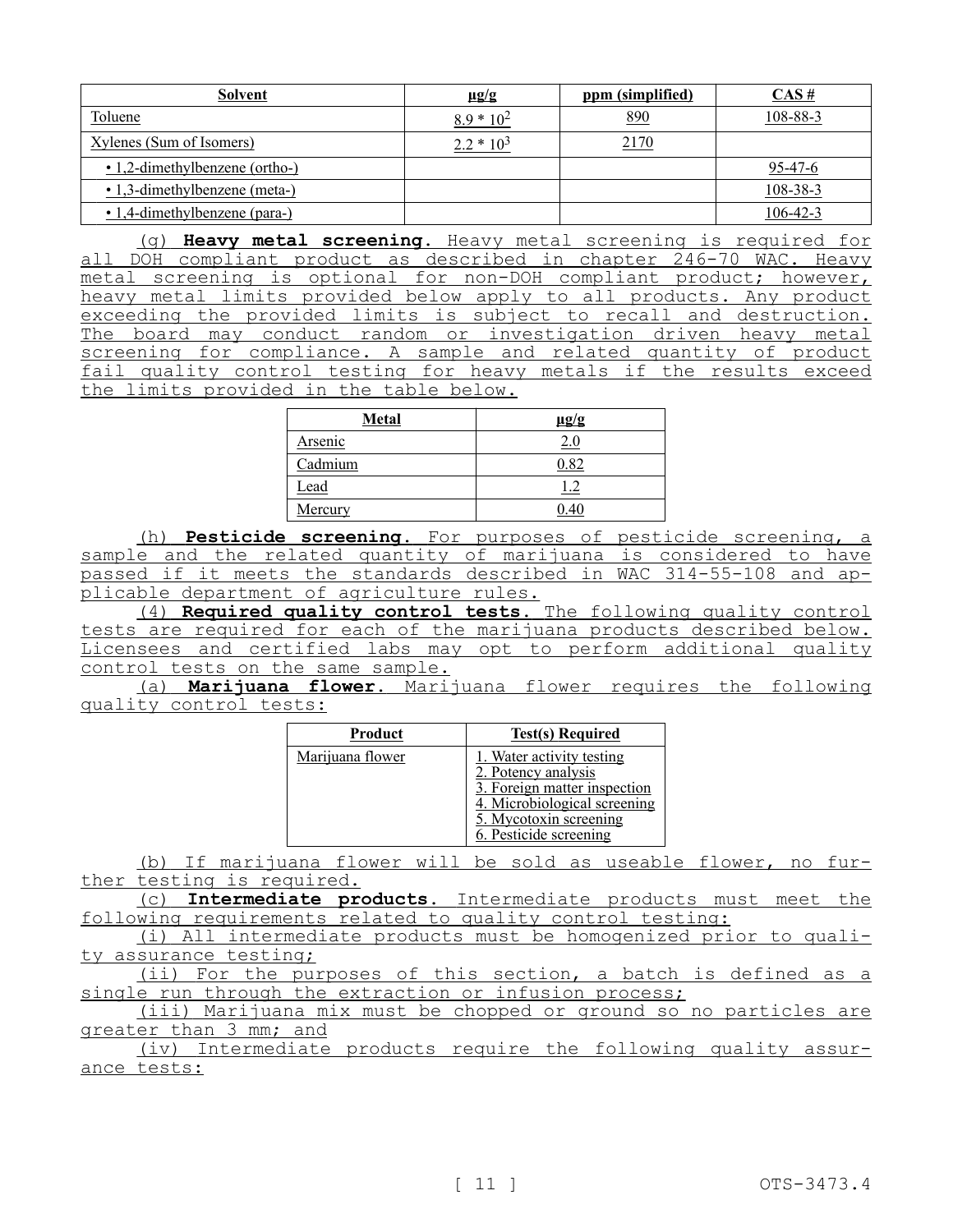| <b>Solvent</b>                 | $\mu$ g/g    | ppm (simplified) | $CAS \#$       |
|--------------------------------|--------------|------------------|----------------|
| Toluene                        | $8.9 * 10^2$ | 890              | 108-88-3       |
| Xylenes (Sum of Isomers)       | $2.2 * 103$  | 2170             |                |
| • 1,2-dimethylbenzene (ortho-) |              |                  | 95-47-6        |
| • 1,3-dimethylbenzene (meta-)  |              |                  | $108 - 38 - 3$ |
| • 1,4-dimethylbenzene (para-)  |              |                  | $106 - 42 - 3$ |

(g) **Heavy metal screening.** Heavy metal screening is required for all DOH compliant product as described in chapter 246-70 WAC. Heavy metal screening is optional for non-DOH compliant product; however, heavy metal limits provided below apply to all products. Any product exceeding the provided limits is subject to recall and destruction. The board may conduct random or investigation driven heavy metal screening for compliance. A sample and related quantity of product fail quality control testing for heavy metals if the results exceed the limits provided in the table below.

| <b>Metal</b> | $\mu$ g/g  |
|--------------|------------|
| Arsenic      | 2.0        |
| Cadmium      | $\rm 0.82$ |
| Lead         |            |
| Mercury      | ) 40       |

(h) **Pesticide screening.** For purposes of pesticide screening, a sample and the related quantity of marijuana is considered to have passed if it meets the standards described in WAC 314-55-108 and applicable department of agriculture rules.

(4) **Required quality control tests.** The following quality control tests are required for each of the marijuana products described below. Licensees and certified labs may opt to perform additional quality control tests on the same sample.

(a) **Marijuana flower.** Marijuana flower requires the following quality control tests:

| Product          | <b>Test(s) Required</b>                                                                                                                                              |
|------------------|----------------------------------------------------------------------------------------------------------------------------------------------------------------------|
| Marijuana flower | 1. Water activity testing<br>2. Potency analysis<br>3. Foreign matter inspection<br>4. Microbiological screening<br>5. Mycotoxin screening<br>6. Pesticide screening |

(b) If marijuana flower will be sold as useable flower, no further testing is required.

(c) **Intermediate products.** Intermediate products must meet the following requirements related to quality control testing:

(i) All intermediate products must be homogenized prior to quality assurance testing;

(ii) For the purposes of this section, a batch is defined as a single run through the extraction or infusion process;

(iii) Marijuana mix must be chopped or ground so no particles are greater than 3 mm; and

(iv) Intermediate products require the following quality assurance tests: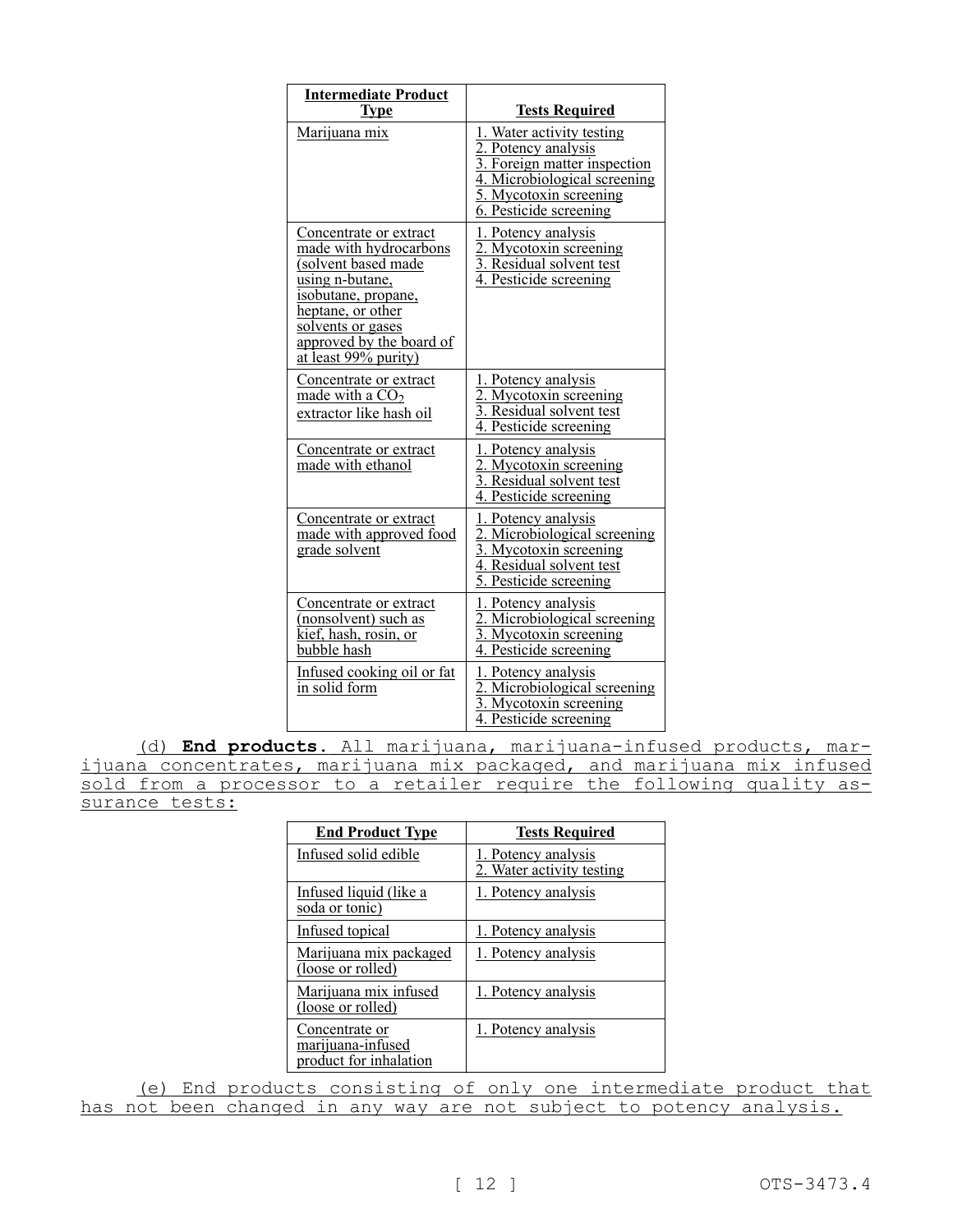| <b>Intermediate Product</b><br><b>Type</b>                                                                                                                                                                      | <b>Tests Required</b>                                                                                                                                                |
|-----------------------------------------------------------------------------------------------------------------------------------------------------------------------------------------------------------------|----------------------------------------------------------------------------------------------------------------------------------------------------------------------|
| Marijuana mix                                                                                                                                                                                                   | 1. Water activity testing<br>2. Potency analysis<br>3. Foreign matter inspection<br>4. Microbiological screening<br>5. Mycotoxin screening<br>6. Pesticide screening |
| Concentrate or extract<br>made with hydrocarbons<br>(solvent based made<br>using n-butane,<br>isobutane, propane,<br>heptane, or other<br>solvents or gases<br>approved by the board of<br>at least 99% purity) | 1. Potency analysis<br>2. Mycotoxin screening<br>3. Residual solvent test<br>4. Pesticide screening                                                                  |
| Concentrate or extract<br>made with a $CO2$<br>extractor like hash oil                                                                                                                                          | 1. Potency analysis<br>2. Mycotoxin screening<br>3. Residual solvent test<br>4. Pesticide screening                                                                  |
| Concentrate or extract<br>made with ethanol                                                                                                                                                                     | 1. Potency analysis<br>2. Mycotoxin screening<br>3. Residual solvent test<br>4. Pesticide screening                                                                  |
| Concentrate or extract<br>made with approved food<br>grade solvent                                                                                                                                              | 1. Potency analysis<br>2. Microbiological screening<br>3. Mycotoxin screening<br>4. Residual solvent test<br>5. Pesticide screening                                  |
| Concentrate or extract<br>(nonsolvent) such as<br>kief, hash, rosin, or<br>bubble hash                                                                                                                          | 1. Potency analysis<br>2. Microbiological screening<br>3. Mycotoxin screening<br>4. Pesticide screening                                                              |
| Infused cooking oil or fat<br>in solid form                                                                                                                                                                     | 1. Potency analysis<br>2. Microbiological screening<br>3. Mycotoxin screening<br>4. Pesticide screening                                                              |

(d) **End products.** All marijuana, marijuana-infused products, marijuana concentrates, marijuana mix packaged, and marijuana mix infused sold from a processor to a retailer require the following quality assurance tests:

| <b>End Product Type</b>                                       | <b>Tests Required</b>                            |
|---------------------------------------------------------------|--------------------------------------------------|
| Infused solid edible                                          | 1. Potency analysis<br>2. Water activity testing |
| Infused liquid (like a<br>soda or tonic)                      | 1. Potency analysis                              |
| Infused topical                                               | 1. Potency analysis                              |
| Marijuana mix packaged<br>(loose or rolled)                   | 1. Potency analysis                              |
| Marijuana mix infused<br>(loose or rolled)                    | 1. Potency analysis                              |
| Concentrate or<br>marijuana-infused<br>product for inhalation | 1. Potency analysis                              |

(e) End products consisting of only one intermediate product that has not been changed in any way are not subject to potency analysis.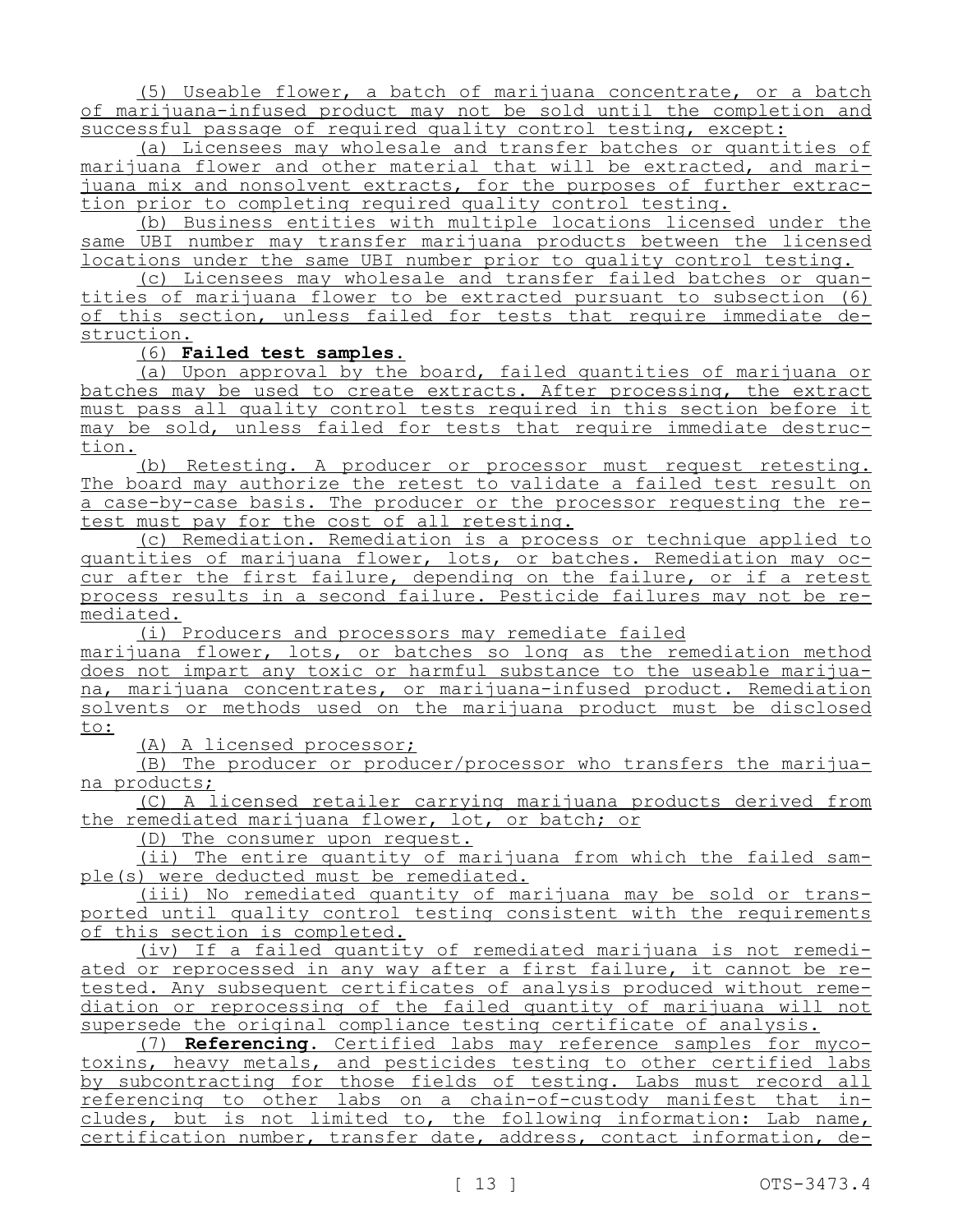(5) Useable flower, a batch of marijuana concentrate, or a batch of marijuana-infused product may not be sold until the completion and successful passage of required quality control testing, except:

(a) Licensees may wholesale and transfer batches or quantities of marijuana flower and other material that will be extracted, and marijuana mix and nonsolvent extracts, for the purposes of further extraction prior to completing required quality control testing.

(b) Business entities with multiple locations licensed under the same UBI number may transfer marijuana products between the licensed locations under the same UBI number prior to quality control testing.

(c) Licensees may wholesale and transfer failed batches or quantities of marijuana flower to be extracted pursuant to subsection (6) of this section, unless failed for tests that require immediate destruction.

#### (6) **Failed test samples.**

(a) Upon approval by the board, failed quantities of marijuana or batches may be used to create extracts. After processing, the extract must pass all quality control tests required in this section before it may be sold, unless failed for tests that require immediate destruction.

(b) Retesting. A producer or processor must request retesting. The board may authorize the retest to validate a failed test result on a case-by-case basis. The producer or the processor requesting the retest must pay for the cost of all retesting.

(c) Remediation. Remediation is a process or technique applied to quantities of marijuana flower, lots, or batches. Remediation may occur after the first failure, depending on the failure, or if a retest process results in a second failure. Pesticide failures may not be remediated.

(i) Producers and processors may remediate failed marijuana flower, lots, or batches so long as the remediation method does not impart any toxic or harmful substance to the useable marijuana, marijuana concentrates, or marijuana-infused product. Remediation solvents or methods used on the marijuana product must be disclosed to:

(A) A licensed processor;

(B) The producer or producer/processor who transfers the marijuana products;

(C) A licensed retailer carrying marijuana products derived from the remediated marijuana flower, lot, or batch; or

(D) The consumer upon request.

(ii) The entire quantity of marijuana from which the failed sample(s) were deducted must be remediated.

(iii) No remediated quantity of marijuana may be sold or transported until quality control testing consistent with the requirements of this section is completed.

(iv) If a failed quantity of remediated marijuana is not remediated or reprocessed in any way after a first failure, it cannot be retested. Any subsequent certificates of analysis produced without remediation or reprocessing of the failed quantity of marijuana will not supersede the original compliance testing certificate of analysis.

(7) **Referencing.** Certified labs may reference samples for mycotoxins, heavy metals, and pesticides testing to other certified labs by subcontracting for those fields of testing. Labs must record all referencing to other labs on a chain-of-custody manifest that includes, but is not limited to, the following information: Lab name, certification number, transfer date, address, contact information, de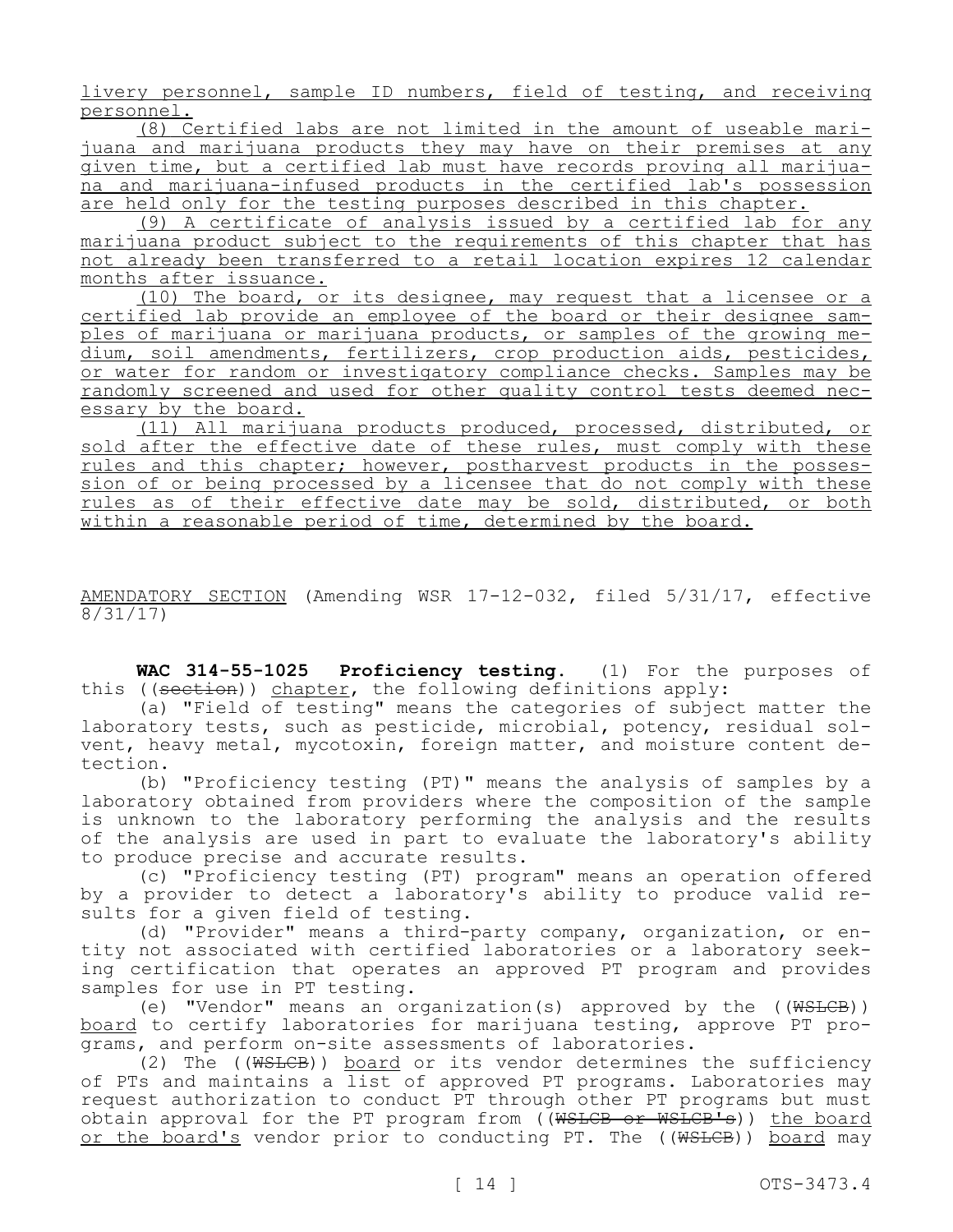livery personnel, sample ID numbers, field of testing, and receiving personnel.

(8) Certified labs are not limited in the amount of useable marijuana and marijuana products they may have on their premises at any given time, but a certified lab must have records proving all marijuana and marijuana-infused products in the certified lab's possession are held only for the testing purposes described in this chapter.

(9) A certificate of analysis issued by a certified lab for any marijuana product subject to the requirements of this chapter that has not already been transferred to a retail location expires 12 calendar months after issuance.

(10) The board, or its designee, may request that a licensee or a certified lab provide an employee of the board or their designee samples of marijuana or marijuana products, or samples of the growing medium, soil amendments, fertilizers, crop production aids, pesticides, or water for random or investigatory compliance checks. Samples may be randomly screened and used for other quality control tests deemed necessary by the board.

(11) All marijuana products produced, processed, distributed, or sold after the effective date of these rules, must comply with these rules and this chapter; however, postharvest products in the possession of or being processed by a licensee that do not comply with these rules as of their effective date may be sold, distributed, or both within a reasonable period of time, determined by the board.

AMENDATORY SECTION (Amending WSR 17-12-032, filed 5/31/17, effective 8/31/17)

**WAC 314-55-1025 Proficiency testing.** (1) For the purposes of this ((section)) chapter, the following definitions apply:

(a) "Field of testing" means the categories of subject matter the laboratory tests, such as pesticide, microbial, potency, residual solvent, heavy metal, mycotoxin, foreign matter, and moisture content detection.

(b) "Proficiency testing (PT)" means the analysis of samples by a laboratory obtained from providers where the composition of the sample is unknown to the laboratory performing the analysis and the results of the analysis are used in part to evaluate the laboratory's ability to produce precise and accurate results.

(c) "Proficiency testing (PT) program" means an operation offered by a provider to detect a laboratory's ability to produce valid results for a given field of testing.

(d) "Provider" means a third-party company, organization, or entity not associated with certified laboratories or a laboratory seeking certification that operates an approved PT program and provides samples for use in PT testing.

(e) "Vendor" means an organization(s) approved by the  $((WSTCE))$ board to certify laboratories for marijuana testing, approve PT programs, and perform on-site assessments of laboratories.

(2) The ((WSLCB)) board or its vendor determines the sufficiency of PTs and maintains a list of approved PT programs. Laboratories may request authorization to conduct PT through other PT programs but must obtain approval for the PT program from ((WSLCB or WSLCB's)) the board or the board's vendor prior to conducting PT. The ((WSLCB)) board may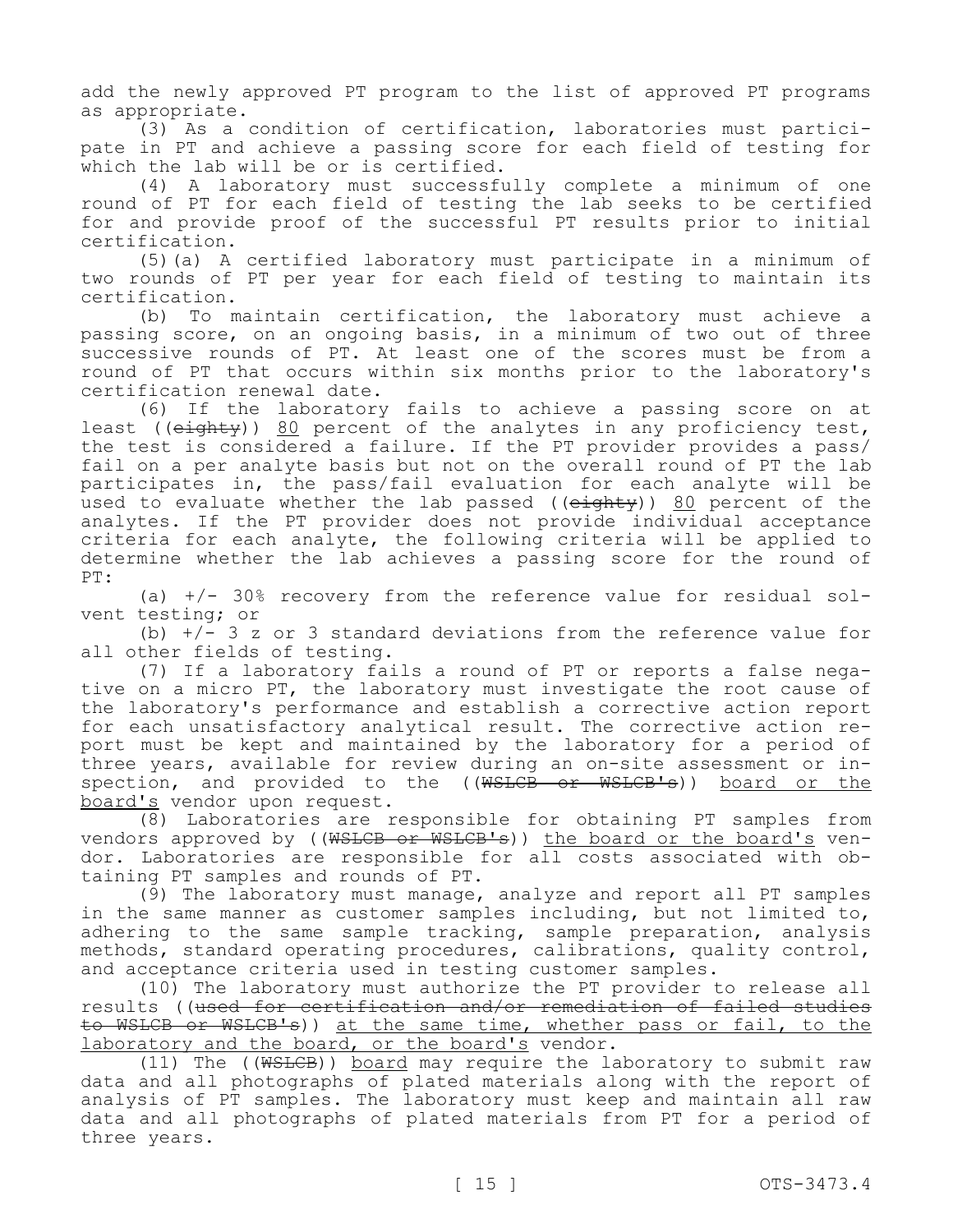add the newly approved PT program to the list of approved PT programs as appropriate.

(3) As a condition of certification, laboratories must participate in PT and achieve a passing score for each field of testing for which the lab will be or is certified.

(4) A laboratory must successfully complete a minimum of one round of PT for each field of testing the lab seeks to be certified for and provide proof of the successful PT results prior to initial certification.

(5)(a) A certified laboratory must participate in a minimum of two rounds of PT per year for each field of testing to maintain its certification.

(b) To maintain certification, the laboratory must achieve a passing score, on an ongoing basis, in a minimum of two out of three successive rounds of PT. At least one of the scores must be from a round of PT that occurs within six months prior to the laboratory's certification renewal date.

(6) If the laboratory fails to achieve a passing score on at least ((<del>eighty</del>)) 80 percent of the analytes in any proficiency test, the test is considered a failure. If the PT provider provides a pass/ fail on a per analyte basis but not on the overall round of PT the lab participates in, the pass/fail evaluation for each analyte will be used to evaluate whether the lab passed ((eighty)) 80 percent of the analytes. If the PT provider does not provide individual acceptance criteria for each analyte, the following criteria will be applied to determine whether the lab achieves a passing score for the round of PT:

(a)  $+/-$  30% recovery from the reference value for residual solvent testing; or

(b)  $+/-$  3 z or 3 standard deviations from the reference value for all other fields of testing.

(7) If a laboratory fails a round of PT or reports a false negative on a micro PT, the laboratory must investigate the root cause of the laboratory's performance and establish a corrective action report for each unsatisfactory analytical result. The corrective action report must be kept and maintained by the laboratory for a period of three years, available for review during an on-site assessment or inspection, and provided to the ((WSLCB or WSLCB's)) board or the board's vendor upon request.

(8) Laboratories are responsible for obtaining PT samples from vendors approved by ((WSLCB or WSLCB's)) the board or the board's vendor. Laboratories are responsible for all costs associated with obtaining PT samples and rounds of PT.

(9) The laboratory must manage, analyze and report all PT samples in the same manner as customer samples including, but not limited to, adhering to the same sample tracking, sample preparation, analysis methods, standard operating procedures, calibrations, quality control, and acceptance criteria used in testing customer samples.

(10) The laboratory must authorize the PT provider to release all results ((used for certification and/or remediation of failed studies to WSLCB or WSLCB's)) at the same time, whether pass or fail, to the laboratory and the board, or the board's vendor.

(11) The ((WSLCB)) board may require the laboratory to submit raw data and all photographs of plated materials along with the report of analysis of PT samples. The laboratory must keep and maintain all raw data and all photographs of plated materials from PT for a period of three years.